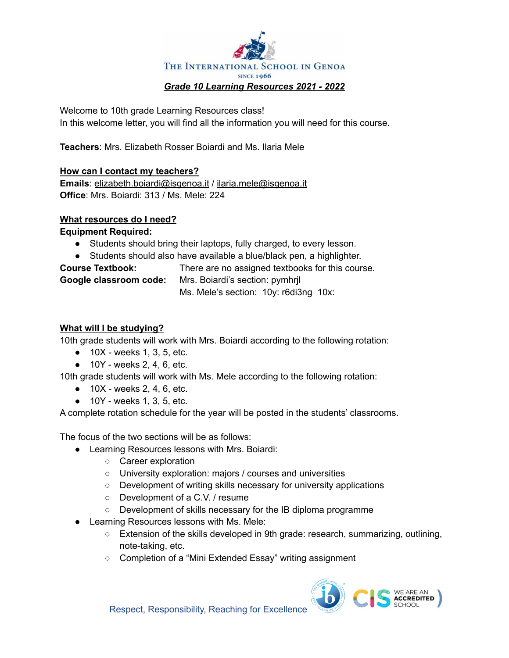

Welcome to 10th grade Learning Resources class! In this welcome letter, you will find all the information you will need for this course.

**Teachers**: Mrs. Elizabeth Rosser Boiardi and Ms. Ilaria Mele

# **How can I contact my teachers?**

**Emails**: [elizabeth.boiardi@isgenoa.it](mailto:elizabeth.boiardi@isgenoa.it) / [ilaria.mele@isgenoa.it](mailto:ilaria.mele@isgenoa.it) **Office**: Mrs. Boiardi: 313 / Ms. Mele: 224

## **What resources do I need?**

**Equipment Required:**

- Students should bring their laptops, fully charged, to every lesson.
- Students should also have available a blue/black pen, a highlighter.

| <b>Course Textbook:</b> | There are no assigned textbooks for this course. |
|-------------------------|--------------------------------------------------|
| Google classroom code:  | Mrs. Boiardi's section: pymhrjl                  |
|                         | Ms. Mele's section: 10y: r6di3ng 10x:            |

# **What will I be studying?**

10th grade students will work with Mrs. Boiardi according to the following rotation:

- $\bullet$  10X weeks 1, 3, 5, etc.
- $\bullet$  10Y weeks 2, 4, 6, etc.

10th grade students will work with Ms. Mele according to the following rotation:

- $\bullet$  10X weeks 2, 4, 6, etc.
- $\bullet$  10Y weeks 1, 3, 5, etc.

A complete rotation schedule for the year will be posted in the students' classrooms.

The focus of the two sections will be as follows:

- Learning Resources lessons with Mrs. Boiardi:
	- Career exploration
	- University exploration: majors / courses and universities
	- Development of writing skills necessary for university applications
	- Development of a C.V. / resume
	- Development of skills necessary for the IB diploma programme
- Learning Resources lessons with Ms. Mele:
	- Extension of the skills developed in 9th grade: research, summarizing, outlining, note-taking, etc.
	- Completion of a "Mini Extended Essay" writing assignment

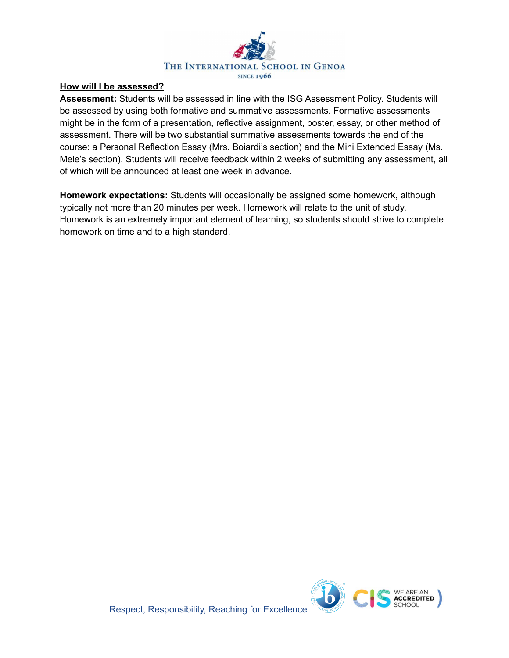

# **How will I be assessed?**

**Assessment:** Students will be assessed in line with the ISG Assessment Policy. Students will be assessed by using both formative and summative assessments. Formative assessments might be in the form of a presentation, reflective assignment, poster, essay, or other method of assessment. There will be two substantial summative assessments towards the end of the course: a Personal Reflection Essay (Mrs. Boiardi's section) and the Mini Extended Essay (Ms. Mele's section). Students will receive feedback within 2 weeks of submitting any assessment, all of which will be announced at least one week in advance.

**Homework expectations:** Students will occasionally be assigned some homework, although typically not more than 20 minutes per week. Homework will relate to the unit of study. Homework is an extremely important element of learning, so students should strive to complete homework on time and to a high standard.

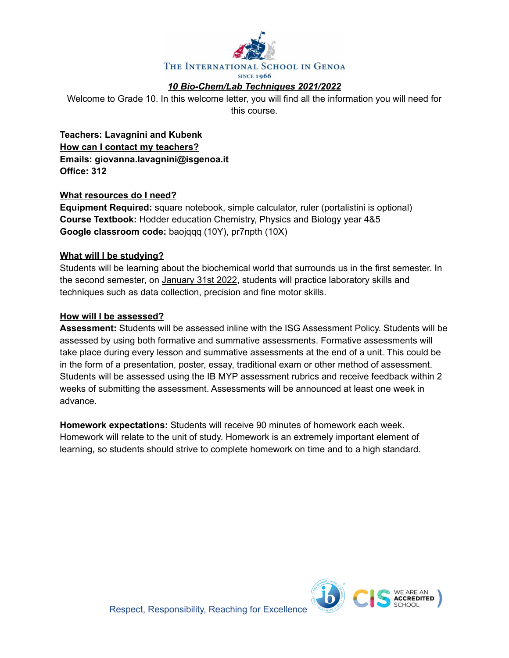

# *10 Bio-Chem/Lab Techniques 2021/2022*

Welcome to Grade 10. In this welcome letter, you will find all the information you will need for this course.

**Teachers: Lavagnini and Kubenk How can I contact my teachers? Emails: giovanna.lavagnini@isgenoa.it Office: 312**

### **What resources do I need?**

**Equipment Required:** square notebook, simple calculator, ruler (portalistini is optional) **Course Textbook:** Hodder education Chemistry, Physics and Biology year 4&5 **Google classroom code:** baojqqq (10Y), pr7npth (10X)

### **What will I be studying?**

Students will be learning about the biochemical world that surrounds us in the first semester. In the second semester, on January 31st 2022, students will practice laboratory skills and techniques such as data collection, precision and fine motor skills.

### **How will I be assessed?**

**Assessment:** Students will be assessed inline with the ISG Assessment Policy. Students will be assessed by using both formative and summative assessments. Formative assessments will take place during every lesson and summative assessments at the end of a unit. This could be in the form of a presentation, poster, essay, traditional exam or other method of assessment. Students will be assessed using the IB MYP assessment rubrics and receive feedback within 2 weeks of submitting the assessment. Assessments will be announced at least one week in advance.

**Homework expectations:** Students will receive 90 minutes of homework each week. Homework will relate to the unit of study. Homework is an extremely important element of learning, so students should strive to complete homework on time and to a high standard.

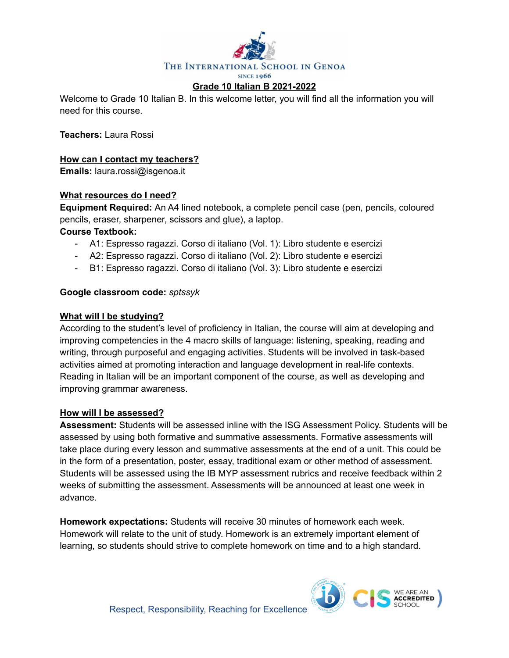

Welcome to Grade 10 Italian B. In this welcome letter, you will find all the information you will need for this course.

**Teachers:** Laura Rossi

# **How can I contact my teachers?**

**Emails:** laura.rossi@isgenoa.it

## **What resources do I need?**

**Equipment Required:** An A4 lined notebook, a complete pencil case (pen, pencils, coloured pencils, eraser, sharpener, scissors and glue), a laptop.

### **Course Textbook:**

- A1: Espresso ragazzi. Corso di italiano (Vol. 1): Libro studente e esercizi
- A2: Espresso ragazzi. Corso di italiano (Vol. 2): Libro studente e esercizi
- B1: Espresso ragazzi. Corso di italiano (Vol. 3): Libro studente e esercizi

## **Google classroom code:** *sptssyk*

### **What will I be studying?**

According to the student's level of proficiency in Italian, the course will aim at developing and improving competencies in the 4 macro skills of language: listening, speaking, reading and writing, through purposeful and engaging activities. Students will be involved in task-based activities aimed at promoting interaction and language development in real-life contexts. Reading in Italian will be an important component of the course, as well as developing and improving grammar awareness.

# **How will I be assessed?**

**Assessment:** Students will be assessed inline with the ISG Assessment Policy. Students will be assessed by using both formative and summative assessments. Formative assessments will take place during every lesson and summative assessments at the end of a unit. This could be in the form of a presentation, poster, essay, traditional exam or other method of assessment. Students will be assessed using the IB MYP assessment rubrics and receive feedback within 2 weeks of submitting the assessment. Assessments will be announced at least one week in advance.

**Homework expectations:** Students will receive 30 minutes of homework each week. Homework will relate to the unit of study. Homework is an extremely important element of learning, so students should strive to complete homework on time and to a high standard.

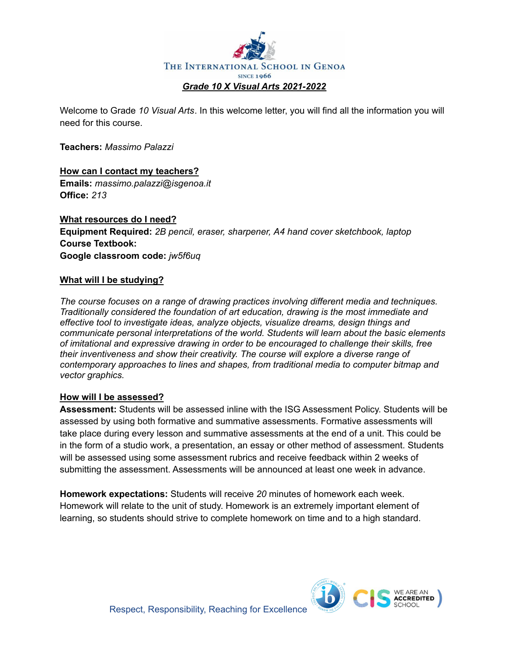

Welcome to Grade *10 Visual Arts*. In this welcome letter, you will find all the information you will need for this course.

**Teachers:** *Massimo Palazzi*

**How can I contact my teachers? Emails:** *massimo.palazzi@isgenoa.it* **Office:** *213*

**What resources do I need? Equipment Required:** *2B pencil, eraser, sharpener, A4 hand cover sketchbook, laptop* **Course Textbook: Google classroom code:** *jw5f6uq*

## **What will I be studying?**

*The course focuses on a range of drawing practices involving different media and techniques. Traditionally considered the foundation of art education, drawing is the most immediate and effective tool to investigate ideas, analyze objects, visualize dreams, design things and communicate personal interpretations of the world. Students will learn about the basic elements of imitational and expressive drawing in order to be encouraged to challenge their skills, free their inventiveness and show their creativity. The course will explore a diverse range of contemporary approaches to lines and shapes, from traditional media to computer bitmap and vector graphics.*

## **How will I be assessed?**

**Assessment:** Students will be assessed inline with the ISG Assessment Policy. Students will be assessed by using both formative and summative assessments. Formative assessments will take place during every lesson and summative assessments at the end of a unit. This could be in the form of a studio work, a presentation, an essay or other method of assessment. Students will be assessed using some assessment rubrics and receive feedback within 2 weeks of submitting the assessment. Assessments will be announced at least one week in advance.

**Homework expectations:** Students will receive *20* minutes of homework each week. Homework will relate to the unit of study. Homework is an extremely important element of learning, so students should strive to complete homework on time and to a high standard.

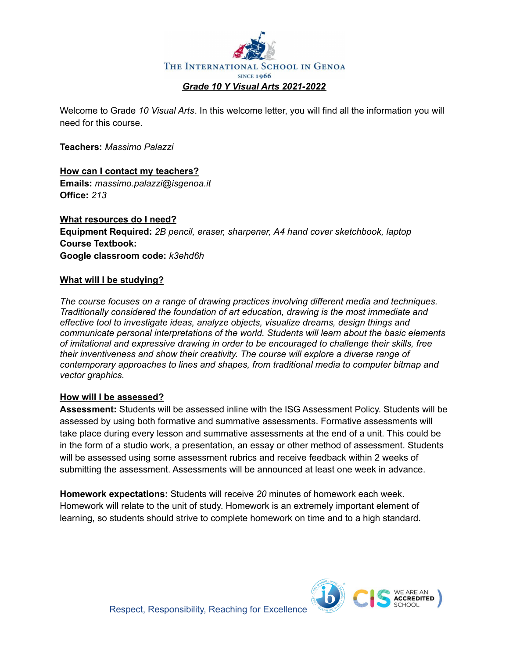

Welcome to Grade *10 Visual Arts*. In this welcome letter, you will find all the information you will need for this course.

**Teachers:** *Massimo Palazzi*

**How can I contact my teachers? Emails:** *massimo.palazzi@isgenoa.it* **Office:** *213*

**What resources do I need? Equipment Required:** *2B pencil, eraser, sharpener, A4 hand cover sketchbook, laptop* **Course Textbook: Google classroom code:** *k3ehd6h*

## **What will I be studying?**

*The course focuses on a range of drawing practices involving different media and techniques. Traditionally considered the foundation of art education, drawing is the most immediate and effective tool to investigate ideas, analyze objects, visualize dreams, design things and communicate personal interpretations of the world. Students will learn about the basic elements of imitational and expressive drawing in order to be encouraged to challenge their skills, free their inventiveness and show their creativity. The course will explore a diverse range of contemporary approaches to lines and shapes, from traditional media to computer bitmap and vector graphics.*

## **How will I be assessed?**

**Assessment:** Students will be assessed inline with the ISG Assessment Policy. Students will be assessed by using both formative and summative assessments. Formative assessments will take place during every lesson and summative assessments at the end of a unit. This could be in the form of a studio work, a presentation, an essay or other method of assessment. Students will be assessed using some assessment rubrics and receive feedback within 2 weeks of submitting the assessment. Assessments will be announced at least one week in advance.

**Homework expectations:** Students will receive *20* minutes of homework each week. Homework will relate to the unit of study. Homework is an extremely important element of learning, so students should strive to complete homework on time and to a high standard.

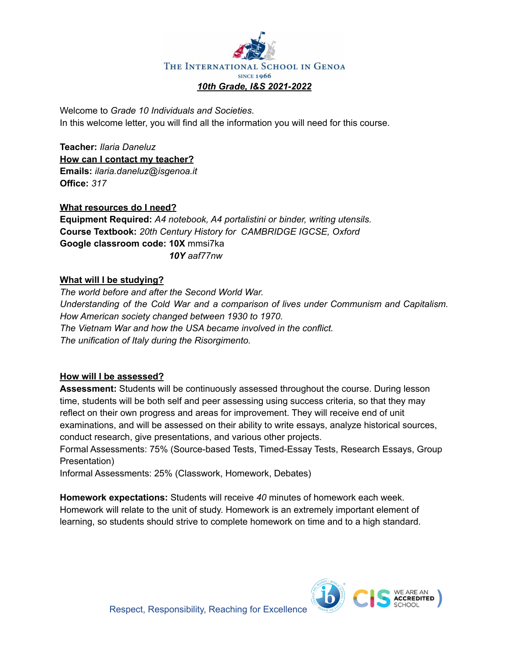

Welcome to *Grade 10 Individuals and Societies*. In this welcome letter, you will find all the information you will need for this course.

**Teacher:** *Ilaria Daneluz* **How can I contact my teacher? Emails:** *ilaria.daneluz@isgenoa.it* **Office:** *317*

**What resources do I need? Equipment Required:** *A4 notebook, A4 portalistini or binder, writing utensils.* **Course Textbook:** *20th Century History for CAMBRIDGE IGCSE, Oxford* **Google classroom code: 10X** mmsi7ka *10Y aaf77nw*

# **What will I be studying?**

*The world before and after the Second World War. Understanding of the Cold War and a comparison of lives under Communism and Capitalism. How American society changed between 1930 to 1970. The Vietnam War and how the USA became involved in the conflict. The unification of Italy during the Risorgimento.*

## **How will I be assessed?**

**Assessment:** Students will be continuously assessed throughout the course. During lesson time, students will be both self and peer assessing using success criteria, so that they may reflect on their own progress and areas for improvement. They will receive end of unit examinations, and will be assessed on their ability to write essays, analyze historical sources, conduct research, give presentations, and various other projects.

Formal Assessments: 75% (Source-based Tests, Timed-Essay Tests, Research Essays, Group Presentation)

Informal Assessments: 25% (Classwork, Homework, Debates)

**Homework expectations:** Students will receive *40* minutes of homework each week. Homework will relate to the unit of study. Homework is an extremely important element of learning, so students should strive to complete homework on time and to a high standard.

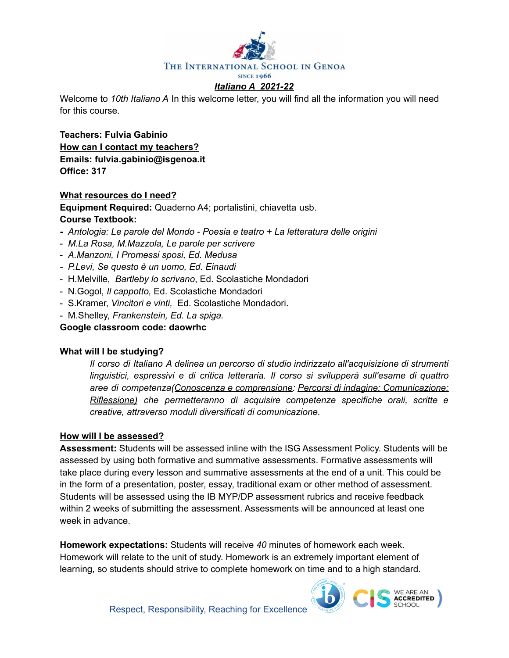

Welcome to *10th Italiano A* In this welcome letter, you will find all the information you will need for this course.

**Teachers: Fulvia Gabinio How can I contact my teachers? Emails: fulvia.gabinio@isgenoa.it Office: 317**

## **What resources do I need?**

**Equipment Required:** Quaderno A4; portalistini, chiavetta usb. **Course Textbook:**

- **-** *Antologia: Le parole del Mondo - Poesia e teatro + La [letteratura](https://www.palumboeditore.it/schedaopera/tabid/308/itemid/2907/Default.aspx) delle origini*
- *M.La Rosa, M.Mazzola, Le parole per [scrivere](https://www.palumboeditore.it/schedaopera/tabid/308/itemid/2936/Default.aspx)*
- *A.Manzoni, I Promessi sposi, Ed. Medusa*
- *- P.Levi, Se questo è un uomo, Ed. Einaudi*
- H.Melville, *Bartleby lo scrivano*, Ed. Scolastiche Mondadori
- N.Gogol, *Il cappotto,* Ed. Scolastiche Mondadori
- S.Kramer, *Vincitori e vinti,* Ed. Scolastiche Mondadori.
- M.Shelley, *Frankenstein, Ed. La spiga.*

**Google classroom code: daowrhc**

## **What will I be studying?**

*Il corso di Italiano A delinea un percorso di studio indirizzato all'acquisizione di strumenti linguistici, espressivi e di critica letteraria. Il corso si svilupperà sull'esame di quattro aree di competenza(Conoscenza e comprensione: Percorsi di indagine; Comunicazione; Riflessione) che permetteranno di acquisire competenze specifiche orali, scritte e creative, attraverso moduli diversificati di comunicazione.*

## **How will I be assessed?**

**Assessment:** Students will be assessed inline with the ISG Assessment Policy. Students will be assessed by using both formative and summative assessments. Formative assessments will take place during every lesson and summative assessments at the end of a unit. This could be in the form of a presentation, poster, essay, traditional exam or other method of assessment. Students will be assessed using the IB MYP/DP assessment rubrics and receive feedback within 2 weeks of submitting the assessment. Assessments will be announced at least one week in advance.

**Homework expectations:** Students will receive *40* minutes of homework each week. Homework will relate to the unit of study. Homework is an extremely important element of learning, so students should strive to complete homework on time and to a high standard.

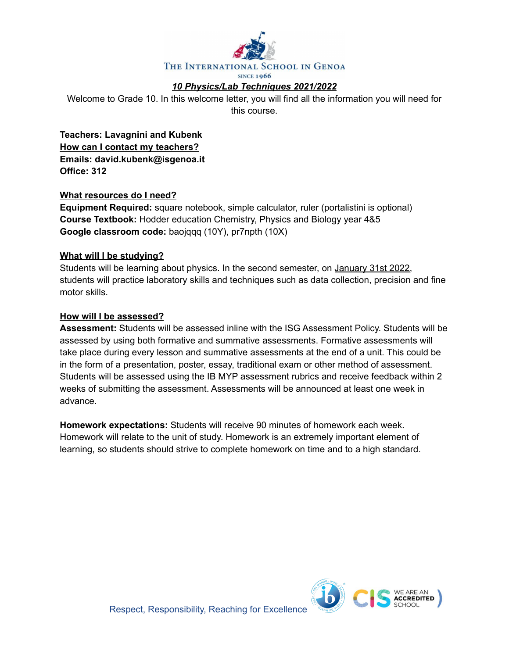

# *10 Physics/Lab Techniques 2021/2022*

Welcome to Grade 10. In this welcome letter, you will find all the information you will need for this course.

**Teachers: Lavagnini and Kubenk How can I contact my teachers? Emails: david.kubenk@isgenoa.it Office: 312**

### **What resources do I need?**

**Equipment Required:** square notebook, simple calculator, ruler (portalistini is optional) **Course Textbook:** Hodder education Chemistry, Physics and Biology year 4&5 **Google classroom code:** baojqqq (10Y), pr7npth (10X)

### **What will I be studying?**

Students will be learning about physics. In the second semester, on January 31st 2022, students will practice laboratory skills and techniques such as data collection, precision and fine motor skills.

#### **How will I be assessed?**

**Assessment:** Students will be assessed inline with the ISG Assessment Policy. Students will be assessed by using both formative and summative assessments. Formative assessments will take place during every lesson and summative assessments at the end of a unit. This could be in the form of a presentation, poster, essay, traditional exam or other method of assessment. Students will be assessed using the IB MYP assessment rubrics and receive feedback within 2 weeks of submitting the assessment. Assessments will be announced at least one week in advance.

**Homework expectations:** Students will receive 90 minutes of homework each week. Homework will relate to the unit of study. Homework is an extremely important element of learning, so students should strive to complete homework on time and to a high standard.

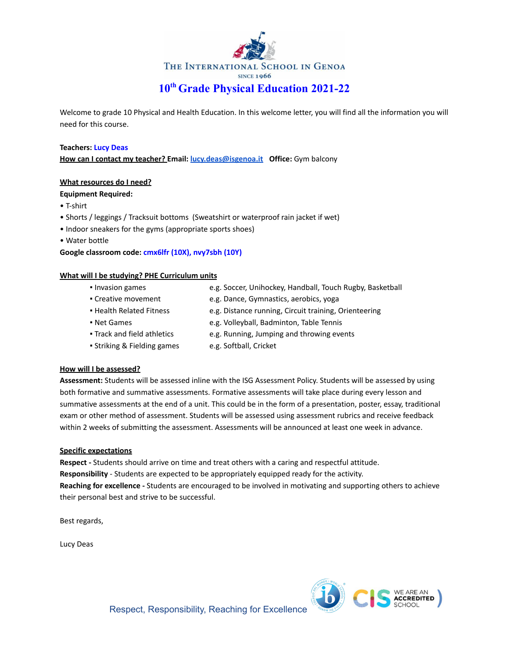

Welcome to grade 10 Physical and Health Education. In this welcome letter, you will find all the information you will need for this course.

#### **Teachers: Lucy Deas**

**How can I contact my teacher? Email: [lucy.deas@isgenoa.it](mailto:lucy.deas@isgenoa.it) Office:** Gym balcony

#### **What resources do I need?**

#### **Equipment Required:**

- T-shirt
- Shorts / leggings / Tracksuit bottoms (Sweatshirt or waterproof rain jacket if wet)
- Indoor sneakers for the gyms (appropriate sports shoes)
- Water bottle

#### **Google classroom code: cmx6lfr (10X), nvy7sbh (10Y)**

#### **What will I be studying? PHE Curriculum units**

- 
- Invasion games e.g. Soccer, Unihockey, Handball, Touch Rugby, Basketball
- Creative movement e.g. Dance, Gymnastics, aerobics, yoga ▪ Health Related Fitness e.g. Distance running, Circuit training, Orienteering
- 
- Net Games e.g. Volleyball, Badminton, Table Tennis
- Track and field athletics e.g. Running, Jumping and throwing events
- Striking & Fielding games e.g. Softball, Cricket
- 

#### **How will I be assessed?**

**Assessment:** Students will be assessed inline with the ISG Assessment Policy. Students will be assessed by using both formative and summative assessments. Formative assessments will take place during every lesson and summative assessments at the end of a unit. This could be in the form of a presentation, poster, essay, traditional exam or other method of assessment. Students will be assessed using assessment rubrics and receive feedback within 2 weeks of submitting the assessment. Assessments will be announced at least one week in advance.

#### **Specific expectations**

**Respect -** Students should arrive on time and treat others with a caring and respectful attitude. **Responsibility** - Students are expected to be appropriately equipped ready for the activity. **Reaching for excellence -** Students are encouraged to be involved in motivating and supporting others to achieve their personal best and strive to be successful.

Best regards,

Lucy Deas

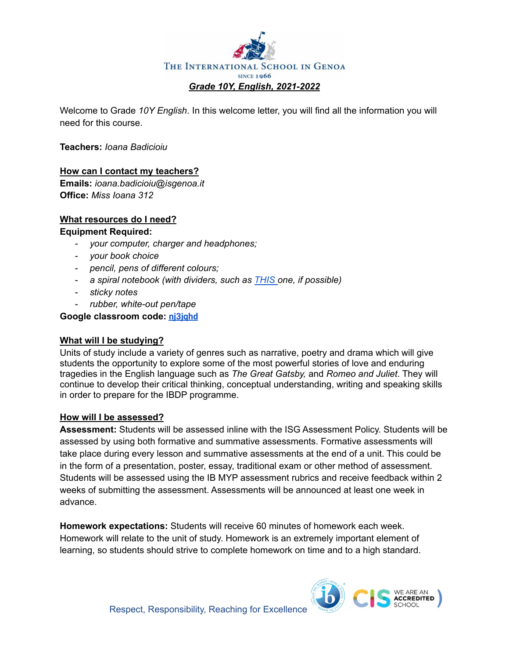

Welcome to Grade *10Y English*. In this welcome letter, you will find all the information you will need for this course.

**Teachers:** *Ioana Badicioiu*

## **How can I contact my teachers?**

**Emails:** *ioana.badicioiu@isgenoa.it* **Office:** *Miss Ioana 312*

# **What resources do I need?**

### **Equipment Required:**

- *- your computer, charger and headphones;*
- *- your book choice*
- *- pencil, pens of different colours;*
- *- a spiral notebook (with dividers, such as [THIS](https://www.amazon.com/Oxford-3-Subject-Notebooks-Assorted-10386/dp/B07CL6PZMM/ref=sxin_7_ac_d_pm?ac_md=2-0-VW5kZXIgJDE1-ac_d_pm&cv_ct_cx=notebooks+with+dividers&dchild=1&keywords=notebooks+with+dividers&pd_rd_i=B07CL6PZMM&pd_rd_r=5b5da13f-7185-43b4-bf26-b9b2bbd6bb4c&pd_rd_w=2pIJl&pd_rd_wg=d47ih&pf_rd_p=6fa2c4b2-cf77-4ff1-a22d-406e154f5c4b&pf_rd_r=BNP9KBNGW28C67BBJ7M0&psc=1&qid=1598599606&sr=1-1-22d05c05-1231-4126-b7c4-3e7a9c0027d0) one, if possible)*
- *- sticky notes*
- *- rubber, white-out pen/tape*

### **Google classroom code: [nj3jqhd](https://classroom.google.com/c/MzE5OTIxNjQ0MzA4?cjc=nj3jqhd)**

## **What will I be studying?**

Units of study include a variety of genres such as narrative, poetry and drama which will give students the opportunity to explore some of the most powerful stories of love and enduring tragedies in the English language such as *The Great Gatsby,* and *Romeo and Juliet*. They will continue to develop their critical thinking, conceptual understanding, writing and speaking skills in order to prepare for the IBDP programme.

#### **How will I be assessed?**

**Assessment:** Students will be assessed inline with the ISG Assessment Policy. Students will be assessed by using both formative and summative assessments. Formative assessments will take place during every lesson and summative assessments at the end of a unit. This could be in the form of a presentation, poster, essay, traditional exam or other method of assessment. Students will be assessed using the IB MYP assessment rubrics and receive feedback within 2 weeks of submitting the assessment. Assessments will be announced at least one week in advance.

**Homework expectations:** Students will receive 60 minutes of homework each week. Homework will relate to the unit of study. Homework is an extremely important element of learning, so students should strive to complete homework on time and to a high standard.

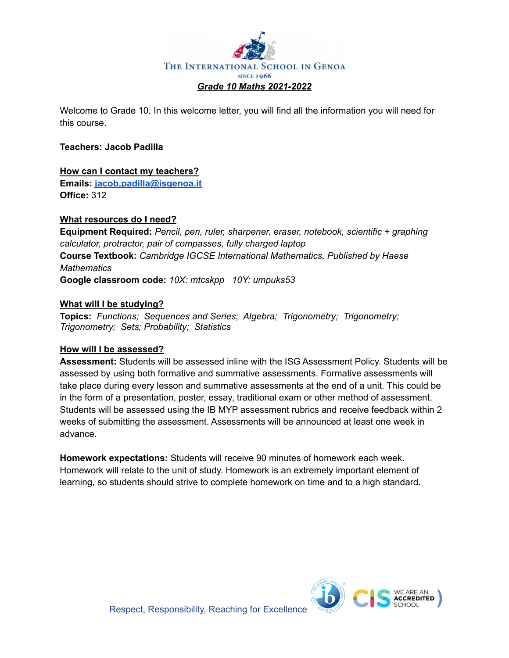

Welcome to Grade 10. In this welcome letter, you will find all the information you will need for this course.

## **Teachers: Jacob Padilla**

# **How can I contact my teachers?**

**Emails: [jacob.padilla@isgenoa.it](mailto:jacob.padilla@isgenoa.it) Office:** 312

# **What resources do I need?**

**Equipment Required:** *Pencil, pen, ruler, sharpener, eraser, notebook, scientific + graphing calculator, protractor, pair of compasses, fully charged laptop* **Course Textbook:** *Cambridge IGCSE International Mathematics, Published by Haese Mathematics* **Google classroom code:** *10X: mtcskpp 10Y: umpuks53*

# **What will I be studying?**

**Topics:** *Functions; Sequences and Series; Algebra; Trigonometry; Trigonometry; Trigonometry; Sets; Probability; Statistics*

## **How will I be assessed?**

**Assessment:** Students will be assessed inline with the ISG Assessment Policy. Students will be assessed by using both formative and summative assessments. Formative assessments will take place during every lesson and summative assessments at the end of a unit. This could be in the form of a presentation, poster, essay, traditional exam or other method of assessment. Students will be assessed using the IB MYP assessment rubrics and receive feedback within 2 weeks of submitting the assessment. Assessments will be announced at least one week in advance.

**Homework expectations:** Students will receive 90 minutes of homework each week. Homework will relate to the unit of study. Homework is an extremely important element of learning, so students should strive to complete homework on time and to a high standard.

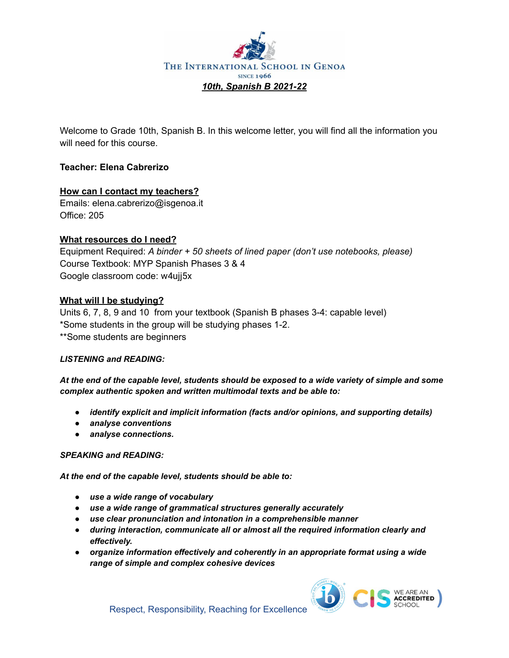

Welcome to Grade 10th, Spanish B. In this welcome letter, you will find all the information you will need for this course.

# **Teacher: Elena Cabrerizo**

## **How can I contact my teachers?**

Emails: elena.cabrerizo@isgenoa.it Office: 205

## **What resources do I need?**

Equipment Required: *A binder + 50 sheets of lined paper (don't use notebooks, please)* Course Textbook: MYP Spanish Phases 3 & 4 Google classroom code: w4ujj5x

## **What will I be studying?**

Units 6, 7, 8, 9 and 10 from your textbook (Spanish B phases 3-4: capable level) \*Some students in the group will be studying phases 1-2. \*\*Some students are beginners

#### *LISTENING and READING:*

At the end of the capable level, students should be exposed to a wide variety of simple and some *complex authentic spoken and written multimodal texts and be able to:*

- *● identify explicit and implicit information (facts and/or opinions, and supporting details)*
- *● analyse conventions*
- *● analyse connections.*

#### *SPEAKING and READING:*

*At the end of the capable level, students should be able to:*

- *● use a wide range of vocabulary*
- *● use a wide range of grammatical structures generally accurately*
- *● use clear pronunciation and intonation in a comprehensible manner*
- *● during interaction, communicate all or almost all the required information clearly and effectively.*
- *● organize information effectively and coherently in an appropriate format using a wide range of simple and complex cohesive devices*

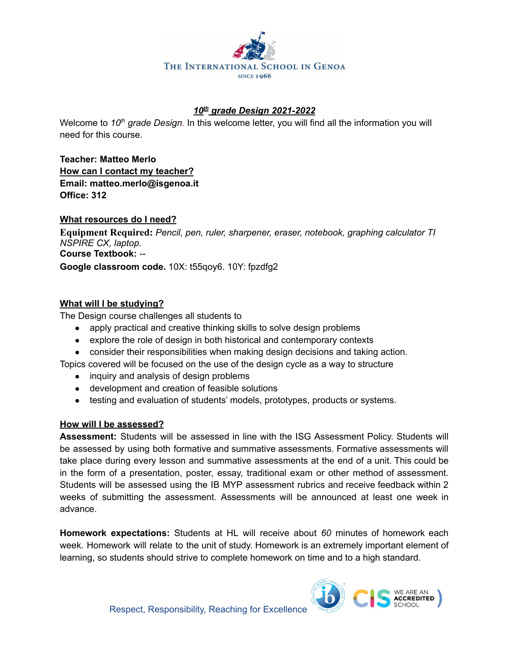

# *10 th grade Design 2021-2022*

Welcome to 10<sup>th</sup> grade Design. In this welcome letter, you will find all the information you will need for this course.

**Teacher: Matteo Merlo How can I contact my teacher? Email: matteo.merlo@isgenoa.it Office: 312**

## **What resources do I need?**

**Equipment Required:** *Pencil, pen, ruler, sharpener, eraser, notebook, graphing calculator TI NSPIRE CX, laptop.* **Course Textbook:** *--*

**Google classroom code.** 10X: t55qoy6. 10Y: fpzdfg2

# **What will I be studying?**

The Design course challenges all students to

- apply practical and creative thinking skills to solve design problems
- explore the role of design in both historical and contemporary contexts
- consider their responsibilities when making design decisions and taking action.

Topics covered will be focused on the use of the design cycle as a way to structure

- inquiry and analysis of design problems
- development and creation of feasible solutions
- testing and evaluation of students' models, prototypes, products or systems.

## **How will I be assessed?**

**Assessment:** Students will be assessed in line with the ISG Assessment Policy. Students will be assessed by using both formative and summative assessments. Formative assessments will take place during every lesson and summative assessments at the end of a unit. This could be in the form of a presentation, poster, essay, traditional exam or other method of assessment. Students will be assessed using the IB MYP assessment rubrics and receive feedback within 2 weeks of submitting the assessment. Assessments will be announced at least one week in advance.

**Homework expectations:** Students at HL will receive about *60* minutes of homework each week. Homework will relate to the unit of study. Homework is an extremely important element of learning, so students should strive to complete homework on time and to a high standard.